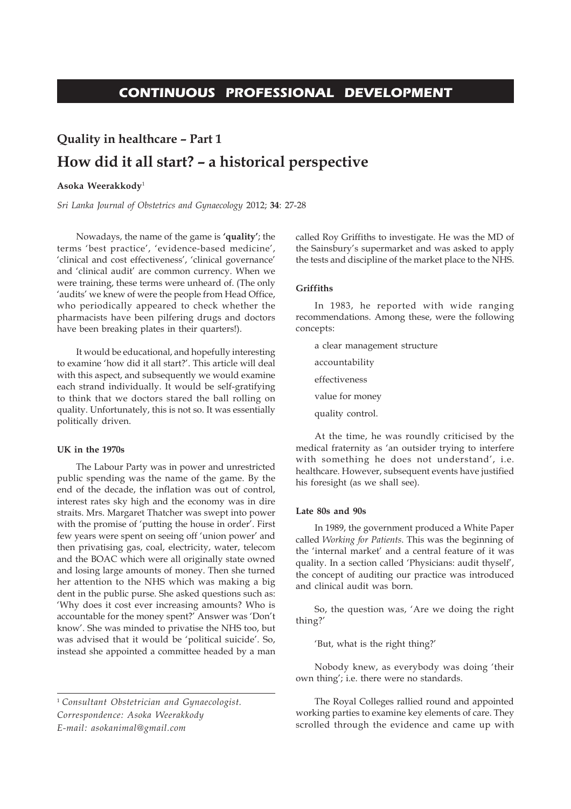# **CONTINUOUS PROFESSIONAL DEVELOPMENT**

# **Quality in healthcare – Part 1 How did it all start? – a historical perspective**

# **Asoka Weerakkody**<sup>1</sup>

*Sri Lanka Journal of Obstetrics and Gynaecology* 2012; **34**: 27-28

Nowadays, the name of the game is **'quality'**; the terms 'best practice', 'evidence-based medicine', 'clinical and cost effectiveness', 'clinical governance' and 'clinical audit' are common currency. When we were training, these terms were unheard of. (The only 'audits' we knew of were the people from Head Office, who periodically appeared to check whether the pharmacists have been pilfering drugs and doctors have been breaking plates in their quarters!).

It would be educational, and hopefully interesting to examine 'how did it all start?'. This article will deal with this aspect, and subsequently we would examine each strand individually. It would be self-gratifying to think that we doctors stared the ball rolling on quality. Unfortunately, this is not so. It was essentially politically driven.

## **UK in the 1970s**

The Labour Party was in power and unrestricted public spending was the name of the game. By the end of the decade, the inflation was out of control, interest rates sky high and the economy was in dire straits. Mrs. Margaret Thatcher was swept into power with the promise of 'putting the house in order'. First few years were spent on seeing off 'union power' and then privatising gas, coal, electricity, water, telecom and the BOAC which were all originally state owned and losing large amounts of money. Then she turned her attention to the NHS which was making a big dent in the public purse. She asked questions such as: 'Why does it cost ever increasing amounts? Who is accountable for the money spent?' Answer was 'Don't know'. She was minded to privatise the NHS too, but was advised that it would be 'political suicide'. So, instead she appointed a committee headed by a man

called Roy Griffiths to investigate. He was the MD of the Sainsbury's supermarket and was asked to apply the tests and discipline of the market place to the NHS.

# **Griffiths**

In 1983, he reported with wide ranging recommendations. Among these, were the following concepts:

- a clear management structure accountability effectiveness value for money
- quality control.

At the time, he was roundly criticised by the medical fraternity as 'an outsider trying to interfere with something he does not understand', i.e. healthcare. However, subsequent events have justified his foresight (as we shall see).

#### **Late 80s and 90s**

In 1989, the government produced a White Paper called *Working for Patients*. This was the beginning of the 'internal market' and a central feature of it was quality. In a section called 'Physicians: audit thyself', the concept of auditing our practice was introduced and clinical audit was born.

So, the question was, 'Are we doing the right thing?'

'But, what is the right thing?'

Nobody knew, as everybody was doing 'their own thing'; i.e. there were no standards.

The Royal Colleges rallied round and appointed working parties to examine key elements of care. They scrolled through the evidence and came up with

<sup>1</sup>*Consultant Obstetrician and Gynaecologist. Correspondence: Asoka Weerakkody E-mail: asokanimal@gmail.com*